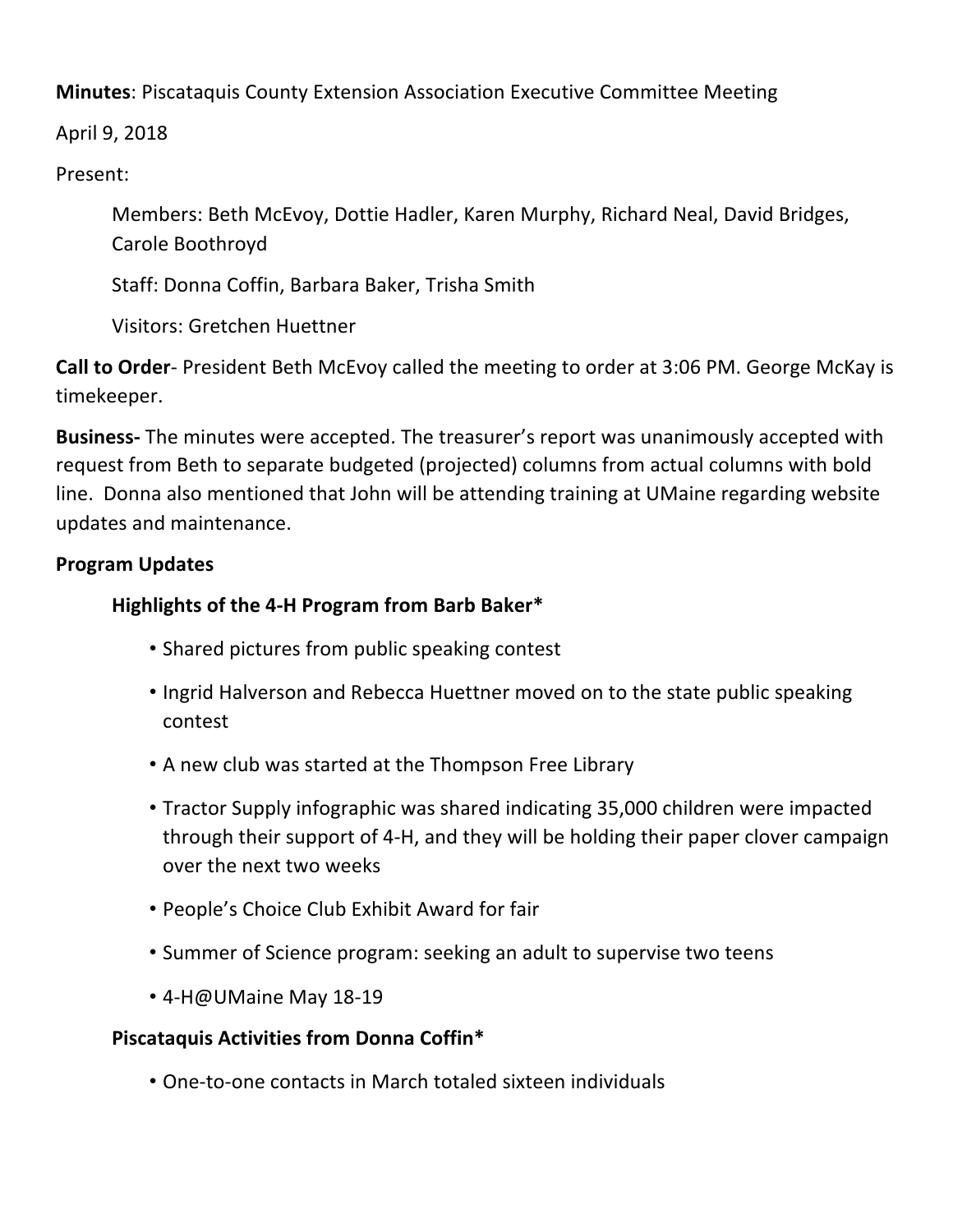**Minutes**: Piscataquis County Extension Association Executive Committee Meeting

April 9, 2018

Present: 

Members: Beth McEvoy, Dottie Hadler, Karen Murphy, Richard Neal, David Bridges, Carole Boothroyd

Staff: Donna Coffin, Barbara Baker, Trisha Smith

Visitors: Gretchen Huettner

**Call to Order**- President Beth McEvoy called the meeting to order at 3:06 PM. George McKay is timekeeper.

**Business-** The minutes were accepted. The treasurer's report was unanimously accepted with request from Beth to separate budgeted (projected) columns from actual columns with bold line. Donna also mentioned that John will be attending training at UMaine regarding website updates and maintenance. 

# **Program Updates**

# **Highlights of the 4-H Program from Barb Baker\***

- Shared pictures from public speaking contest
- Ingrid Halverson and Rebecca Huettner moved on to the state public speaking contest
- A new club was started at the Thompson Free Library
- Tractor Supply infographic was shared indicating 35,000 children were impacted through their support of 4-H, and they will be holding their paper clover campaign over the next two weeks
- People's Choice Club Exhibit Award for fair
- Summer of Science program: seeking an adult to supervise two teens
- 4-H@UMaine May 18-19

# **Piscataquis Activities from Donna Coffin\***

• One-to-one contacts in March totaled sixteen individuals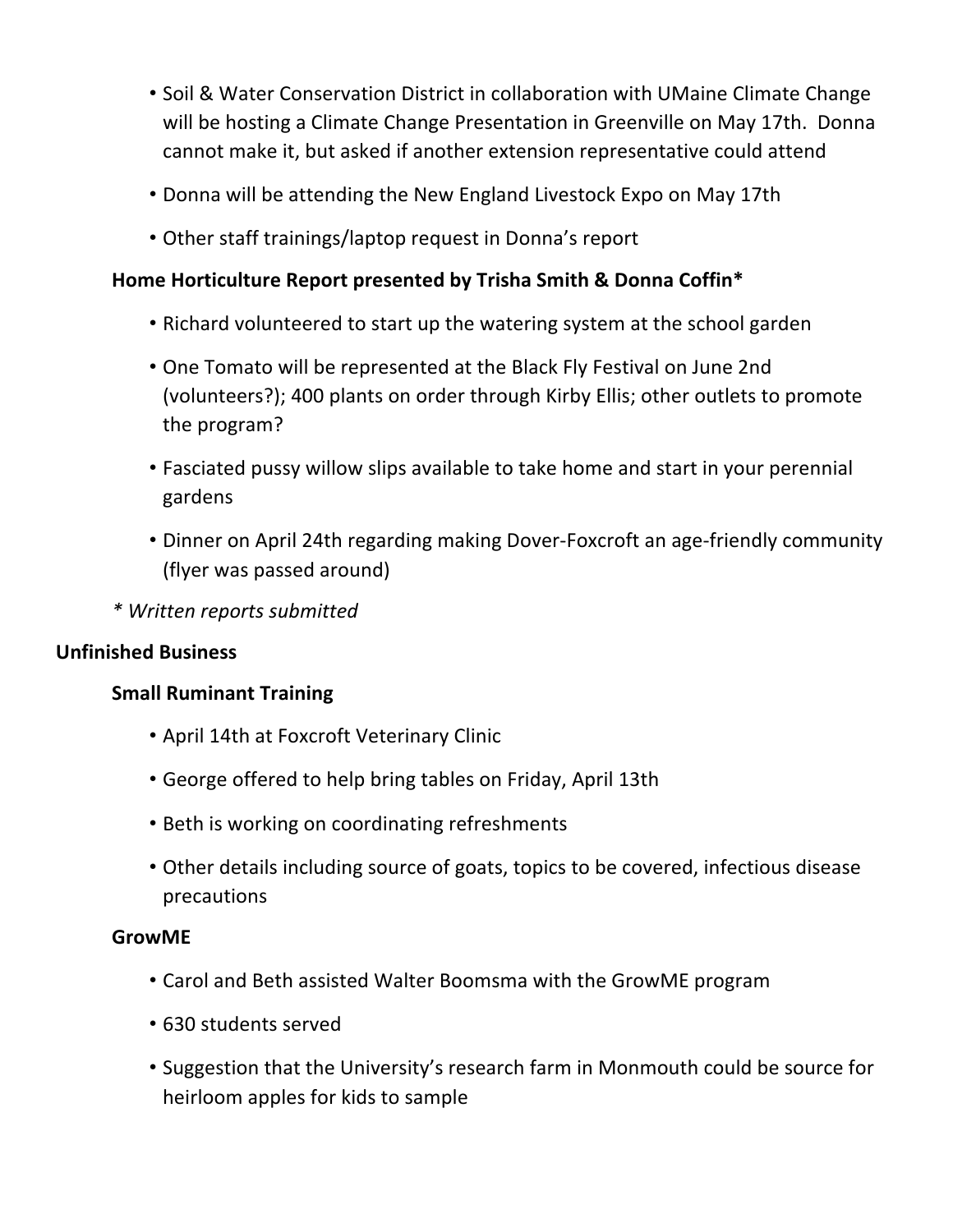- Soil & Water Conservation District in collaboration with UMaine Climate Change will be hosting a Climate Change Presentation in Greenville on May 17th. Donna cannot make it, but asked if another extension representative could attend
- Donna will be attending the New England Livestock Expo on May 17th
- Other staff trainings/laptop request in Donna's report

# **Home Horticulture Report presented by Trisha Smith & Donna Coffin\***

- Richard volunteered to start up the watering system at the school garden
- One Tomato will be represented at the Black Fly Festival on June 2nd (volunteers?); 400 plants on order through Kirby Ellis; other outlets to promote the program?
- Fasciated pussy willow slips available to take home and start in your perennial gardens
- Dinner on April 24th regarding making Dover-Foxcroft an age-friendly community (flyer was passed around)
- *\* Written reports submitted*

### **Unfinished Business**

## **Small Ruminant Training**

- April 14th at Foxcroft Veterinary Clinic
- George offered to help bring tables on Friday, April 13th
- Beth is working on coordinating refreshments
- Other details including source of goats, topics to be covered, infectious disease precautions

### **GrowME**

- Carol and Beth assisted Walter Boomsma with the GrowME program
- 630 students served
- Suggestion that the University's research farm in Monmouth could be source for heirloom apples for kids to sample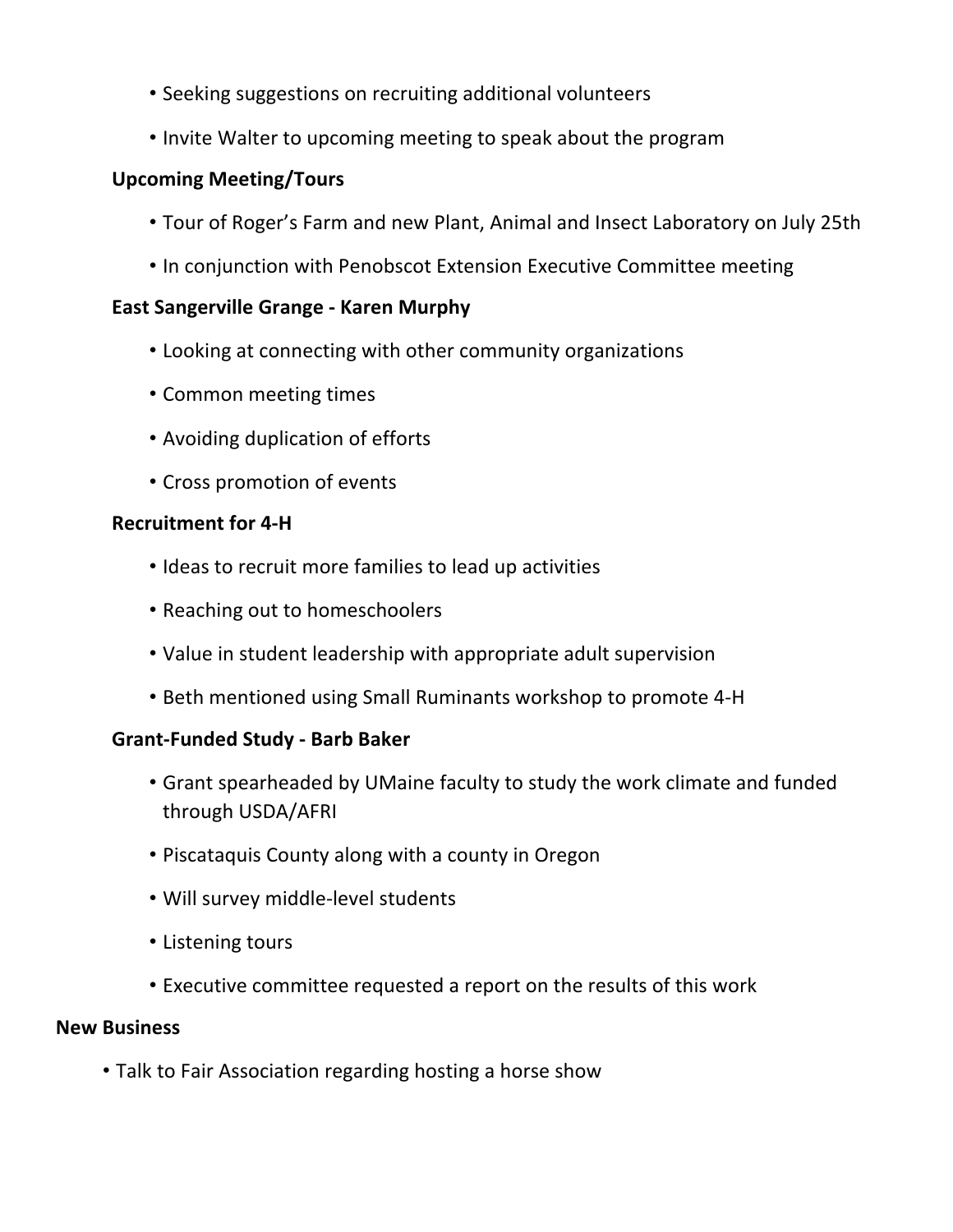- Seeking suggestions on recruiting additional volunteers
- Invite Walter to upcoming meeting to speak about the program

## **Upcoming Meeting/Tours**

- Tour of Roger's Farm and new Plant, Animal and Insect Laboratory on July 25th
- In conjunction with Penobscot Extension Executive Committee meeting

### **East Sangerville Grange - Karen Murphy**

- Looking at connecting with other community organizations
- Common meeting times
- Avoiding duplication of efforts
- Cross promotion of events

## **Recruitment for 4-H**

- Ideas to recruit more families to lead up activities
- Reaching out to homeschoolers
- Value in student leadership with appropriate adult supervision
- Beth mentioned using Small Ruminants workshop to promote 4-H

### **Grant-Funded Study - Barb Baker**

- Grant spearheaded by UMaine faculty to study the work climate and funded through USDA/AFRI
- Piscataquis County along with a county in Oregon
- Will survey middle-level students
- Listening tours
- Executive committee requested a report on the results of this work

## **New Business**

• Talk to Fair Association regarding hosting a horse show